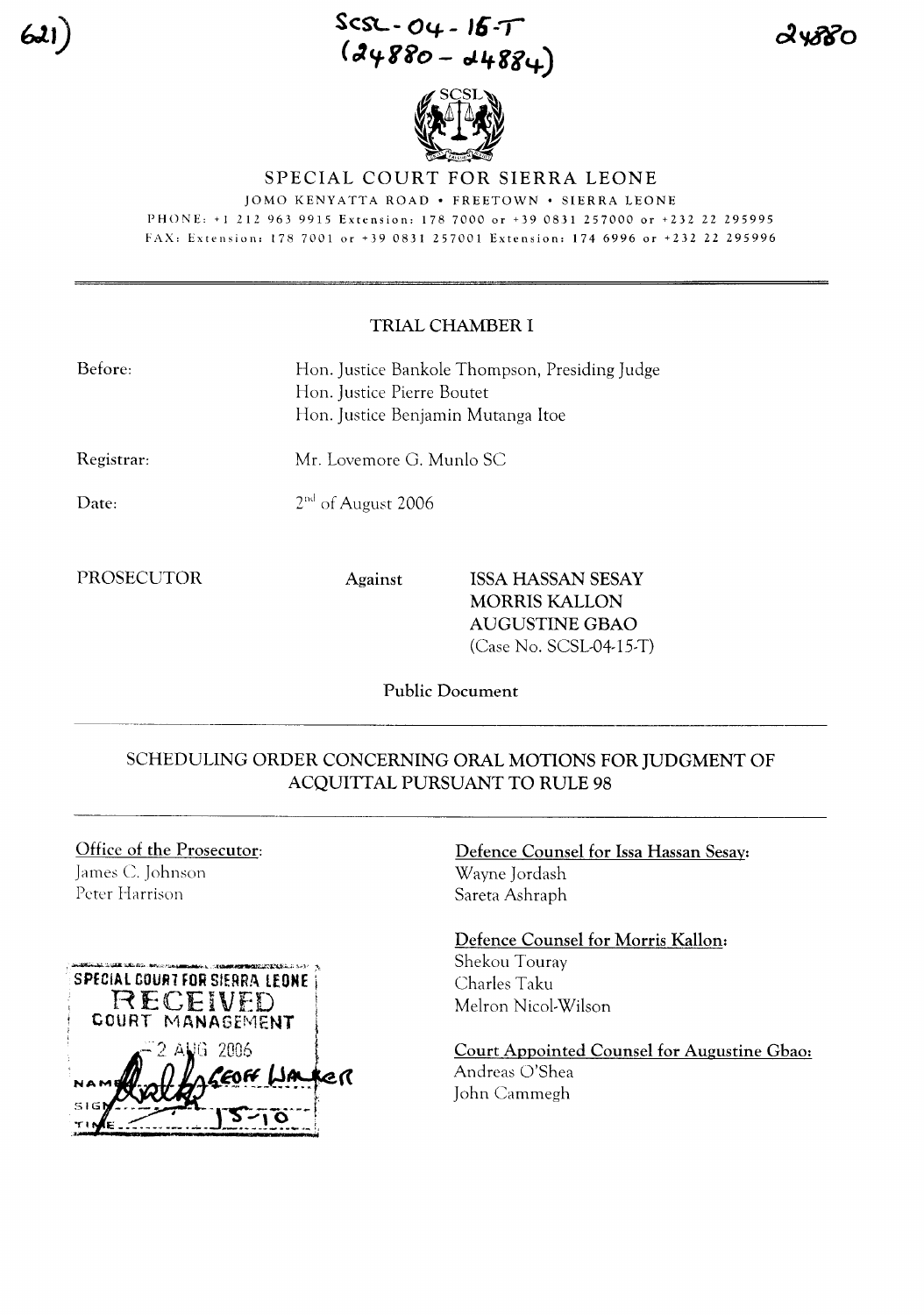**SC::SL- 04- - 16..,-**  $(24880 - 44884)$ 



### SPECIAL COURT FOR SIERRA LEONE

JOMO KENYATTA ROAD · FREETOWN · SIERRA LEONE PHONE: +12129639915 Extension: 1787000 or +390831257000 or +232 22 295995 FAX: Extension: 178 7001 or +39 0831257001 Extension: 1746996 or +232 22 295996

### TRIAL CHAMBER I

| Before: | Hon. Justice Bankole Thompson, Presiding Judge |
|---------|------------------------------------------------|
|         | Hon. Justice Pierre Boutet                     |
|         | Hon. Justice Benjamin Mutanga Itoe             |

Mr. Lovemore G. Munlo SC

Registrar:

Date:

2<sup>nd</sup> of August 2006

## PROSECUTOR Against ISSA HASSAN SESAY MORRIS KALLON AUGUSTINE GBAO (Case No. SCSL-04-15-T)

Public Document

## SCHEDULING ORDER CONCERNING ORAL MOTIONS FOR JUDGMENT OF ACQUITTAL PURSUANT TO RULE 98

# Office of the Prosecutor: James C. Johnson Peter Harrison



Defence Counsel for Issa Hassan Sesay: Wayne Jordash Sareta Ashraph

Defence Counsel for Morris Kallon: Shekou Touray Charles Taku Melron Nicol-Wilson

Court Appointed Counsel for Augustine Gbao: Andreas O'Shea John Cammegh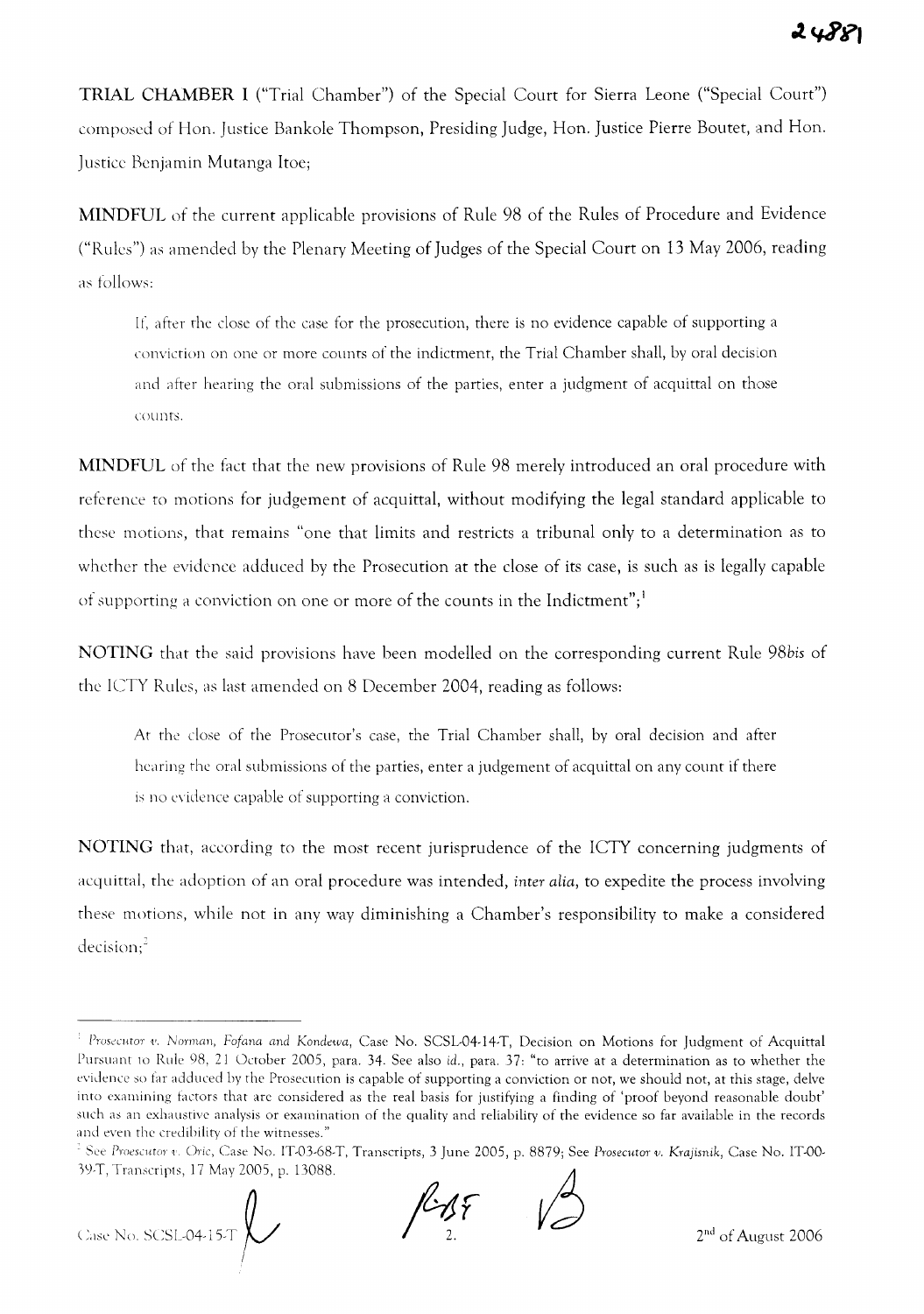**TRIAL CHAMBER I** ("Trial Chamber") of the Special Court for Sierra Leone ("Special Court") composed of Hem. Justice Bankole Thompson, Presiding Judge, Hon. Justice Pierre Boutet, and Hon. Justice Benjamin Mutanga Itoe;

**MINDFUL** of the current applicable provisions of Rule 98 of the Rules of Procedure and Evidence ("Rules") as amended by the Plenary Meeting ofJudges of the Special Court on 13 May 2006, reading as follows:

If, after the close of the case for the prosecution, there is no evidence capable of supporting a conviction on one or more counts of the indictment, the Trial Chamber shall, by oral decision and after hearing the oral submissions of the parties, enter a judgment of acquittal on those counts.

**MINDFUL** of the fact that the new provisions of Rule 98 merely introduced an oral procedure with reference to motions for judgement of acquittal, without modifying the legal standard applicable to these motions, that remains "one that limits and restricts a tribunal only to a determination as to whether the evidence adduced by the Prosecution at the close of its case, is such as is legally capable of supporting a conviction on one or more of the counts in the Indictment";<sup>1</sup>

**NOTING** that the said provisions have been modelled on the corresponding current Rule *98bis* of the ICTY Rules, as last amended on 8 December 2004, reading as follows:

At the close of the Prosecutor's case, the Trial Chamber shall, by oral decision and after hearing the oral submissions of the parties, enter a judgement of acquittal on any count if there is no evidence capable of supporting a conviction.

**NOTING** that, according to the most recent jurisprudence of the ICTY concerning judgments of acquittal, the adoption of an oral procedure was intended, *inter alia,* to expedite the process involving these motions, while not in any way diminishing a Chamber's responsibility to make a considered decision;<sup>2</sup>

( :,,,,, No, SCSL,O+ 1ST P **/-** '~

 $k$ AF

<sup>&</sup>lt;sup>1</sup> Prosecutor v. Norman, Fofana and Kondewa, Case No. SCSL-04-14-T, Decision on Motions for Judgment of Acquittal Pursuant to Rule 98, 21 October 2005, para. 34. See also *id.,* para. 37: "to arrive at a determination as to whether the evidence so far adduced by the Prosecution is capable of supporting a conviction or not, we should not, at this stage, delve into examining factors that are considered as the real basis for justifying a finding of 'proof beyond reasonable doubt' such as an exhaustive analysis or examination of the quality and reliability of the evidence so far available in the records and even the credibility of the witnesses."

<sup>.</sup> See ProesClltor 1. Oric, Case No. IT-03.68.T, Transcripts, 3 June 2005, p. 8879; See *Prosecutor v. Kmjisnik,* Case No. IT-OO· 3l)·T, Transcripts, 17 May 2005, p. 13088.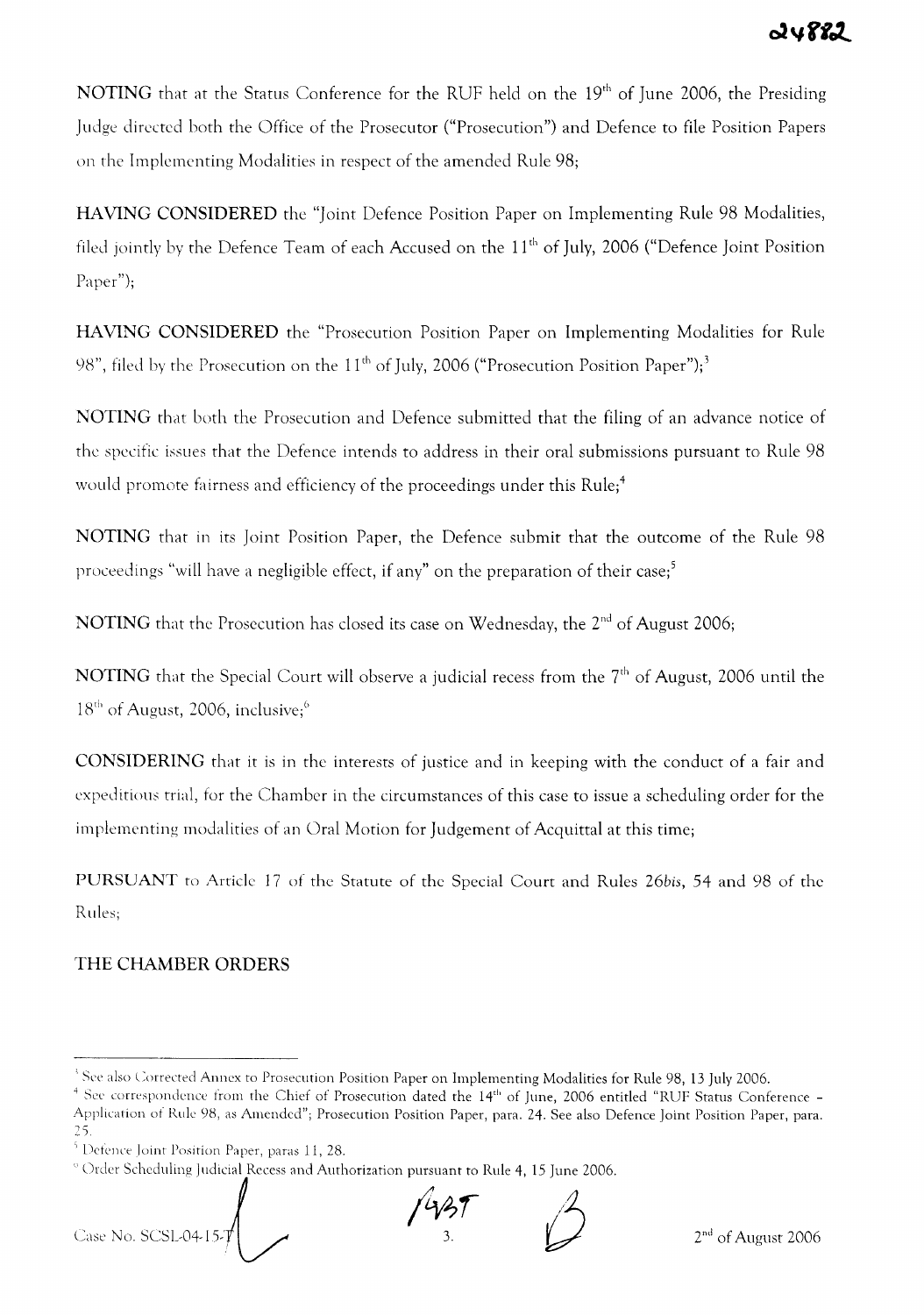NOTING that at the Status Conference for the RUF held on the 19<sup>th</sup> of June 2006, the Presiding Judge directed both the Office of the Prosecutor ("Prosecution") and Defence to file Position Papers on the Implementing Modalities in respect of the amended Rule 98;

HAVlNG CONSIDERED the "Joint Defence Position Paper on Implementing Rule 98 Modalities, filed jointly by the Defence Team of each Accused on the 11<sup>th</sup> of July, 2006 ("Defence Joint Position Paper");

HAVlNG CONSIDERED the "Prosecution Position Paper on Implementing Modalities for Rule 98", filed by the Prosecution on the  $11<sup>th</sup>$  of July, 2006 ("Prosecution Position Paper");<sup>3</sup>

NOTING that both the Prosecution and Defence submitted that the filing of an advance notice of the specific issues that the Defence intends to address in their oral submissions pursuant to Rule 98 would promote fairness and efficiency of the proceedings under this Rule;<sup>4</sup>

NOTING that in its Joint Position Paper, the Defence submit that the outcome of the Rule 98 proceedings "will have a negligible effect, if any" on the preparation of their case;<sup>5</sup>

NOTING that the Prosecution has closed its case on Wednesday, the 2<sup>nd</sup> of August 2006;

NOTING that the Special Court will observe a judicial recess from the 7<sup>th</sup> of August, 2006 until the  $18<sup>th</sup>$  of August, 2006, inclusive;<sup>6</sup>

CONSIDERING that it is in the interests of justice and in keeping with the conduct of a fair and expeditious trial, for the Chamber in the circumstances of this case to issue a scheduling order for the implementing modalities of an Oral Motion for Judgement of Acquittal at this time;

PURSUANT to Article 17 of the Statute of the Special Court and Rules *26bis,* 54 and 98 of the Rules;

# THE CHAMBER ORDERS

Case No. SCSL04-15-7  $\int_{0}^{2\sqrt{3}}$ 

 $^3$  See also Corrected Annex to Prosecution Position Paper on Implementing Modalities for Rule 98, 13 July 2006.

 $^4$  See correspondence from the Chief of Prosecution dated the  $14^{\rm th}$  of June, 2006 entitled "RUF Status Conference -Application of Rule 98, as Amended"; Prosecution Position Paper, para. 24. See also Defence Joint Position Paper, para. 2).

 $5$  Defence Joint Position Paper, paras 11, 28.

Order Scheduling Judicial Recess and Authorization pursuant to Rule 4, 15 June 2006.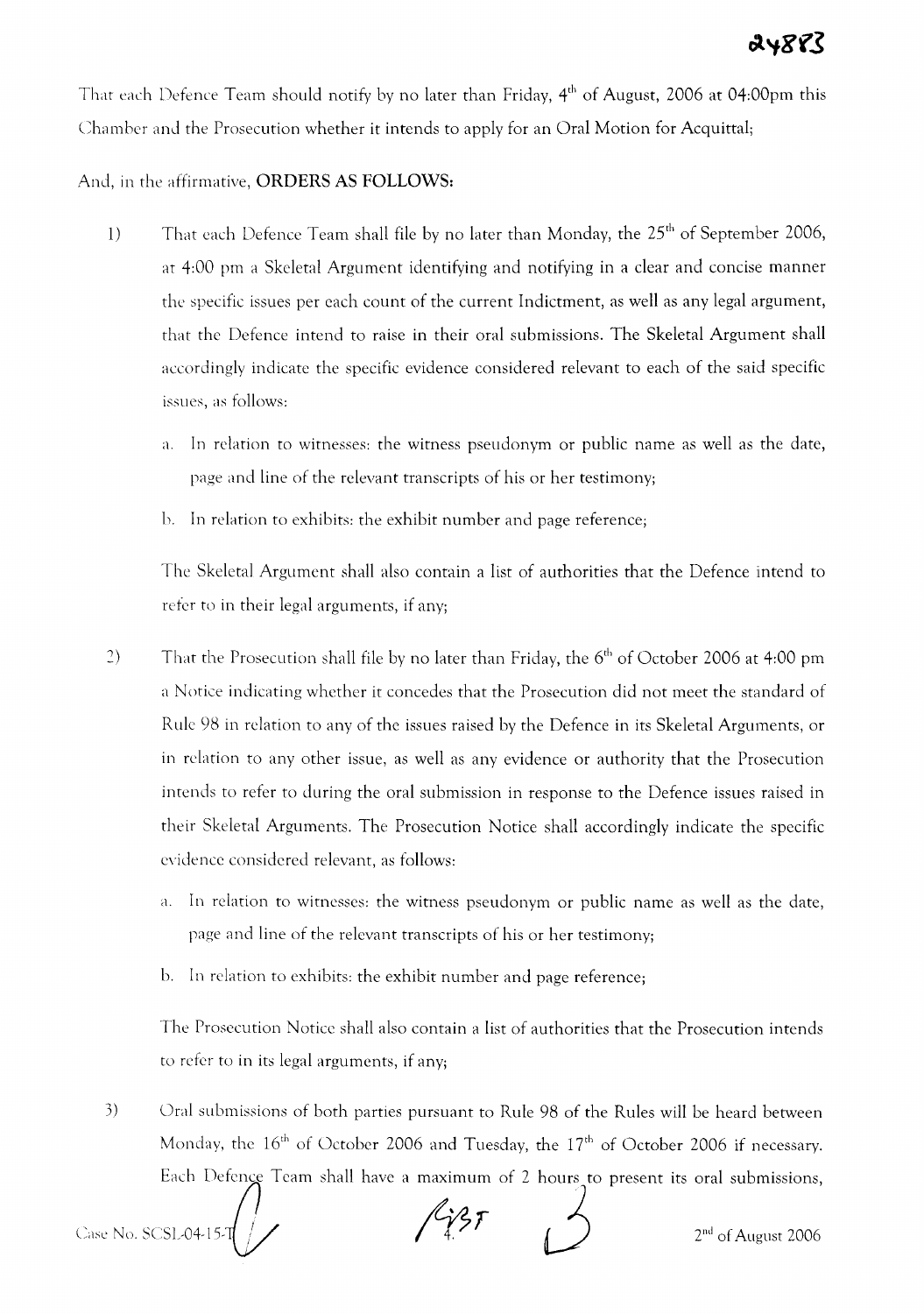That each Defence Team should notify by no later than Friday, 4<sup>th</sup> of August, 2006 at 04:00pm this Chamber and the Prosecution whether it intends to apply for an Oral Motion for Acquittal;

# And, in the affirmative, **ORDERS AS FOLLOWS:**

- 1) That each Defence Team shall file by no later than Monday, the  $25<sup>th</sup>$  of September 2006, at 4:00 pm a Skeletal Argument identifying and notifying in a clear and concise manner the specific issues per each count of the current Indictment, as well as any legal argument, that the Defence intend to raise in their oral submissions. The Skeletal Argument shall accordingly indicate the specific evidence considered relevant to each of the said specific issues, as follows:
	- a. In relation to witnesses: the witness pseudonym or public name as well as the date, page and line of the relevant transcripts of his or her testimony;
	- b. In relation to exhibits: the exhibit number and page reference;

The Skeletal Argument shall also contain a list of authorities that the Defence intend to refer to in their legal arguments, if any;

- 2) That the Prosecution shall file by no later than Friday, the  $6<sup>th</sup>$  of October 2006 at 4:00 pm a Notice indicating whether it concedes that the Prosecution did not meet the standard of Rule 98 in relation to any of the issues raised by the Defence **in** its Skeletal Arguments, or in rclation to any other issue, as well as any evidence or authority that the Prosecution intends to refer to during the oral submission **in** response to the Defence issues raised in their Skeletal Arguments. The Prosecution Notice shall accordingly indicate the specific evidence considered relevant, as follows:
	- a. In rclation to witnesses: the witness pseudonym or public name as well as the date, page and line of the relevant transcripts of his or her testimony;
	- b. In relation to exhibits: the exhibit number and page reference;

The Prosecution Notice shall also contain a list of authorities that the Prosecution intends to refer to in its legal arguments, if any;

3) Oral submissions of both parties pursuant to Rule 98 of the Rules will be heard between Monday, the  $16<sup>th</sup>$  of October 2006 and Tuesday, the  $17<sup>th</sup>$  of October 2006 if necessary. Each Defence Team shall have a maximum of 2 hours to present its oral submissi Each Defence Team shall have a maximum of 2 hours to present its oral submissions,<br>Case No. SCSL-04-15-T<br>2<sup>nd</sup> of August 2006